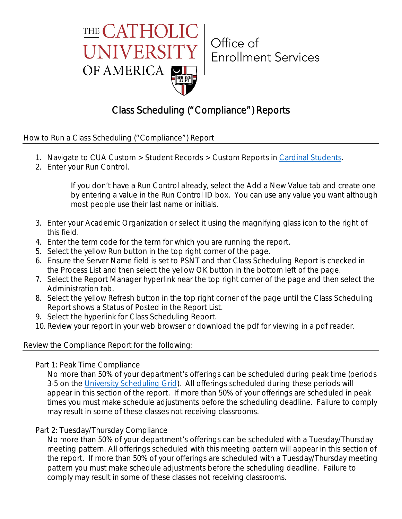

## Office of **Enrollment Services**

### Class Scheduling ("Compliance") Reports

How to Run a Class Scheduling ("Compliance") Report

- 1. Navigate to CUA Custom > Student Records > Custom Reports in Cardinal Students.
- 2. Enter your Run Control.

If you don't have a Run Control already, select the Add a New Value tab and create one by entering a value in the Run Control ID box. You can use any value you want although most people use their last name or initials.

- 3. Enter your Academic Organization or select it using the magnifying glass icon to the right of this field.
- 4. Enter the term code for the term for which you are running the report.
- 5. Select the yellow Run button in the top right corner of the page.
- 6. Ensure the Server Name field is set to PSNT and that Class Scheduling Report is checked in the Process List and then select the yellow OK button in the bottom left of the page.
- 7. Select the Report Manager hyperlink near the top right corner of the page and then select the Administration tab.
- 8. Select the yellow Refresh button in the top right corner of the page until the Class Scheduling Report shows a Status of Posted in the Report List.
- 9. Select the hyperlink for Class Scheduling Report.
- 10. Review your report in your web browser or download the pdf for viewing in a pdf reader.

### Review the Compliance Report for the following:

Part 1: Peak Time Compliance

No more than 50% of your department's offerings can be scheduled during peak time (periods 3-5 on the University Scheduling Grid). All offerings scheduled during these periods will appear in this section of the report. If more than 50% of your offerings are scheduled in peak times you must make schedule adjustments before the scheduling deadline. Failure to comply may result in some of these classes not receiving classrooms.

### Part 2: Tuesday/Thursday Compliance

No more than 50% of your department's offerings can be scheduled with a Tuesday/Thursday meeting pattern. All offerings scheduled with this meeting pattern will appear in this section of the report. If more than 50% of your offerings are scheduled with a Tuesday/Thursday meeting pattern you must make schedule adjustments before the scheduling deadline. Failure to comply may result in some of these classes not receiving classrooms.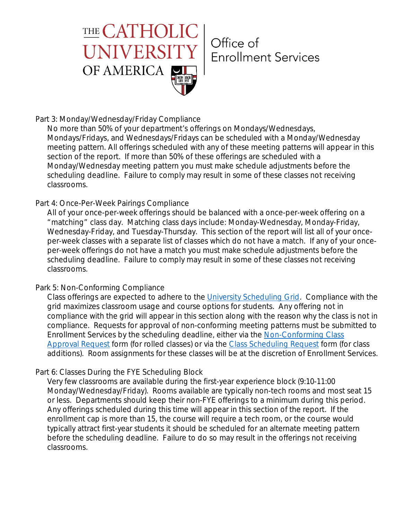

# Office of **Enrollment Services**

### Part 3: Monday/Wednesday/Friday Compliance

No more than 50% of your department's offerings on Mondays/Wednesdays, Mondays/Fridays, and Wednesdays/Fridays can be scheduled with a Monday/Wednesday meeting pattern. All offerings scheduled with any of these meeting patterns will appear in this section of the report. If more than 50% of these offerings are scheduled with a Monday/Wednesday meeting pattern you must make schedule adjustments before the scheduling deadline. Failure to comply may result in some of these classes not receiving classrooms.

### Part 4: Once-Per-Week Pairings Compliance

All of your once-per-week offerings should be balanced with a once-per-week offering on a "matching" class day. Matching class days include: Monday-Wednesday, Monday-Friday, Wednesday-Friday, and Tuesday-Thursday. This section of the report will list all of your onceper-week classes with a separate list of classes which do not have a match. If any of your onceper-week offerings do not have a match you must make schedule adjustments before the scheduling deadline. Failure to comply may result in some of these classes not receiving classrooms.

### Park 5: Non-Conforming Compliance

Class offerings are expected to adhere to the University Scheduling Grid. Compliance with the grid maximizes classroom usage and course options for students. Any offering not in compliance with the grid will appear in this section along with the reason why the class is not in compliance. Requests for approval of non-conforming meeting patterns must be submitted to Enrollment Services by the scheduling deadline, either via the Non-Conforming Class Approval Request form (for rolled classes) or via the Class Scheduling Request form (for class additions). Room assignments for these classes will be at the discretion of Enrollment Services.

### Part 6: Classes During the FYE Scheduling Block

Very few classrooms are available during the first-year experience block (9:10-11:00 Monday/Wednesday/Friday). Rooms available are typically non-tech rooms and most seat 15 or less. Departments should keep their non-FYE offerings to a minimum during this period. Any offerings scheduled during this time will appear in this section of the report. If the enrollment cap is more than 15, the course will require a tech room, or the course would typically attract first-year students it should be scheduled for an alternate meeting pattern before the scheduling deadline. Failure to do so may result in the offerings not receiving classrooms.